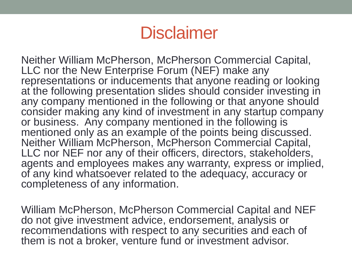#### **Disclaimer**

Neither William McPherson, McPherson Commercial Capital, LLC nor the New Enterprise Forum (NEF) make any representations or inducements that anyone reading or looking at the following presentation slides should consider investing in any company mentioned in the following or that anyone should consider making any kind of investment in any startup company or business. Any company mentioned in the following is mentioned only as an example of the points being discussed. Neither William McPherson, McPherson Commercial Capital, LLC nor NEF nor any of their officers, directors, stakeholders, agents and employees makes any warranty, express or implied, of any kind whatsoever related to the adequacy, accuracy or completeness of any information.

William McPherson, McPherson Commercial Capital and NEF do not give investment advice, endorsement, analysis or recommendations with respect to any securities and each of them is not a broker, venture fund or investment advisor.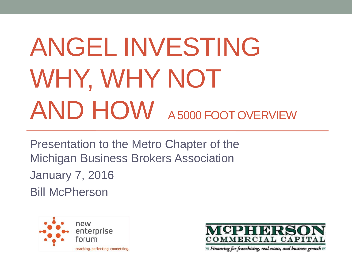# ANGEL INVESTING WHY, WHY NOT AND HOW A 5000 FOOT OVERVIEW

Presentation to the Metro Chapter of the Michigan Business Brokers Association January 7, 2016 Bill McPherson



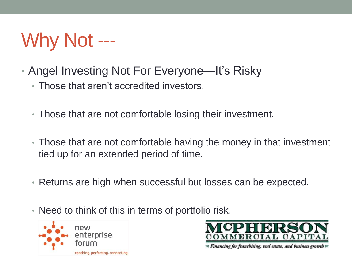# Why Not ---

- Angel Investing Not For Everyone—It's Risky
	- Those that aren't accredited investors.
	- Those that are not comfortable losing their investment.
	- Those that are not comfortable having the money in that investment tied up for an extended period of time.
	- Returns are high when successful but losses can be expected.
	- Need to think of this in terms of portfolio risk.



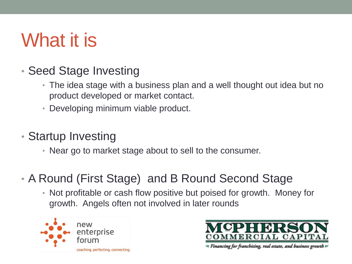# What it is

- Seed Stage Investing
	- The idea stage with a business plan and a well thought out idea but no product developed or market contact.
	- Developing minimum viable product.
- Startup Investing
	- Near go to market stage about to sell to the consumer.
- A Round (First Stage) and B Round Second Stage
	- Not profitable or cash flow positive but poised for growth. Money for growth. Angels often not involved in later rounds



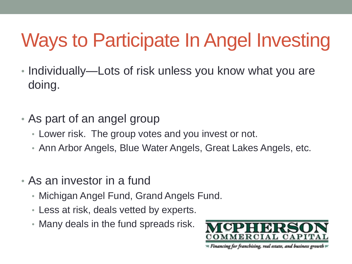# Ways to Participate In Angel Investing

- Individually—Lots of risk unless you know what you are doing.
- As part of an angel group
	- Lower risk. The group votes and you invest or not.
	- Ann Arbor Angels, Blue Water Angels, Great Lakes Angels, etc.
- As an investor in a fund
	- Michigan Angel Fund, Grand Angels Fund.
	- Less at risk, deals vetted by experts.
	- Many deals in the fund spreads risk.

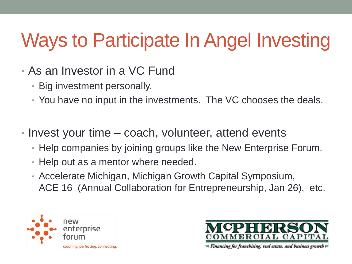# Ways to Participate In Angel Investing

- As an Investor in a VC Fund
	- Big investment personally.
	- You have no input in the investments. The VC chooses the deals.
- Invest your time coach, volunteer, attend events
	- Help companies by joining groups like the New Enterprise Forum.
	- Help out as a mentor where needed.
	- Accelerate Michigan, Michigan Growth Capital Symposium, ACE 16 (Annual Collaboration for Entrepreneurship, Jan 26), etc.



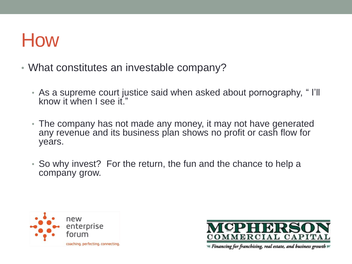#### How

- What constitutes an investable company?
	- As a supreme court justice said when asked about pornography, " I'll know it when I see it."
	- The company has not made any money, it may not have generated any revenue and its business plan shows no profit or cash flow for years.
	- So why invest? For the return, the fun and the chance to help a company grow.



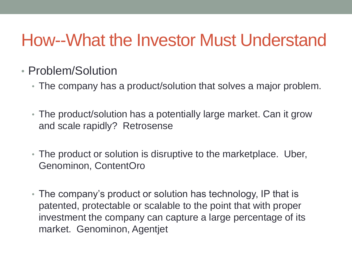- Problem/Solution
	- The company has a product/solution that solves a major problem.
	- The product/solution has a potentially large market. Can it grow and scale rapidly? Retrosense
	- The product or solution is disruptive to the marketplace. Uber, Genominon, ContentOro
	- The company's product or solution has technology, IP that is patented, protectable or scalable to the point that with proper investment the company can capture a large percentage of its market. Genominon, Agentjet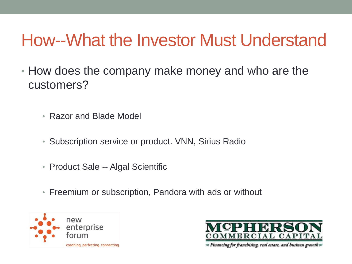- How does the company make money and who are the customers?
	- Razor and Blade Model
	- Subscription service or product. VNN, Sirius Radio
	- Product Sale -- Algal Scientific
	- Freemium or subscription, Pandora with ads or without



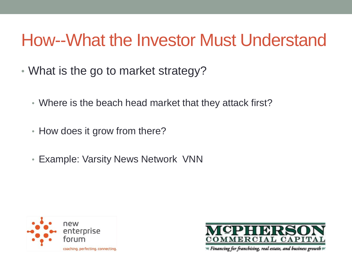- What is the go to market strategy?
	- Where is the beach head market that they attack first?
	- How does it grow from there?
	- Example: Varsity News Network VNN



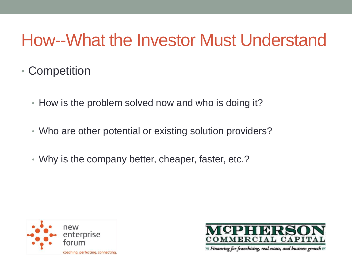- Competition
	- How is the problem solved now and who is doing it?
	- Who are other potential or existing solution providers?
	- Why is the company better, cheaper, faster, etc.?



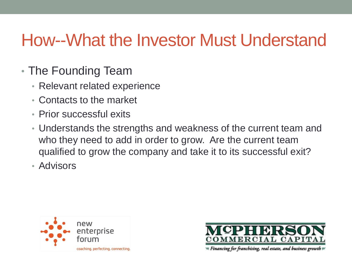- The Founding Team
	- Relevant related experience
	- Contacts to the market
	- Prior successful exits
	- Understands the strengths and weakness of the current team and who they need to add in order to grow. Are the current team qualified to grow the company and take it to its successful exit?
	- Advisors



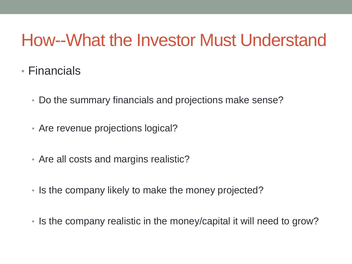- Financials
	- Do the summary financials and projections make sense?
	- Are revenue projections logical?
	- Are all costs and margins realistic?
	- Is the company likely to make the money projected?
	- Is the company realistic in the money/capital it will need to grow?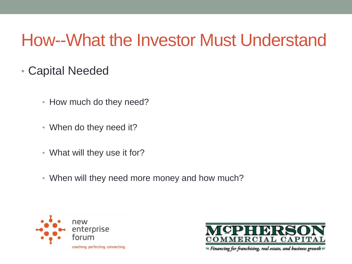- Capital Needed
	- How much do they need?
	- When do they need it?
	- What will they use it for?
	- When will they need more money and how much?



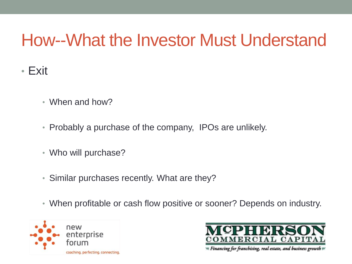- Exit
	- When and how?
	- Probably a purchase of the company, IPOs are unlikely.
	- Who will purchase?
	- Similar purchases recently. What are they?
	- When profitable or cash flow positive or sooner? Depends on industry.



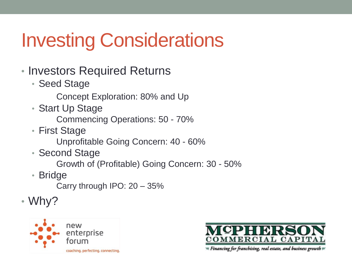# Investing Considerations

- Investors Required Returns
	- Seed Stage
		- Concept Exploration: 80% and Up
	- Start Up Stage
		- Commencing Operations: 50 70%
	- First Stage
		- Unprofitable Going Concern: 40 60%
	- Second Stage
		- Growth of (Profitable) Going Concern: 30 50%
	- Bridge
		- Carry through IPO: 20 35%
- Why?



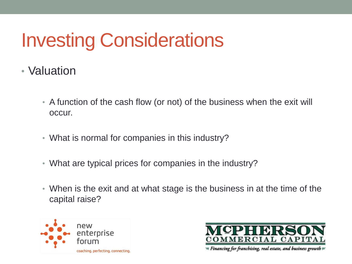# Investing Considerations

- Valuation
	- A function of the cash flow (or not) of the business when the exit will occur.
	- What is normal for companies in this industry?
	- What are typical prices for companies in the industry?
	- When is the exit and at what stage is the business in at the time of the capital raise?



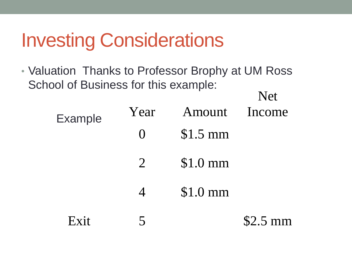### Investing Considerations

• Valuation Thanks to Professor Brophy at UM Ross School of Business for this example: Net

| <b>Example</b> | Year              | Amount Income |           |
|----------------|-------------------|---------------|-----------|
|                | $\mathbf{\Omega}$ | $$1.5$ mm     |           |
|                | $\overline{2}$    | $$1.0$ mm     |           |
|                |                   | $$1.0$ mm     |           |
| $F$ vit        |                   |               | $$2.5$ mm |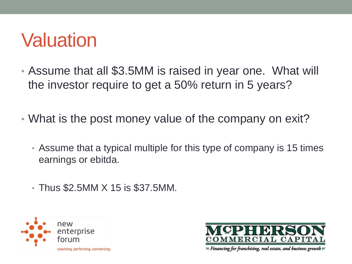- Assume that all \$3.5MM is raised in year one. What will the investor require to get a 50% return in 5 years?
- What is the post money value of the company on exit?
	- Assume that a typical multiple for this type of company is 15 times earnings or ebitda.
	- Thus \$2.5MM X 15 is \$37.5MM.



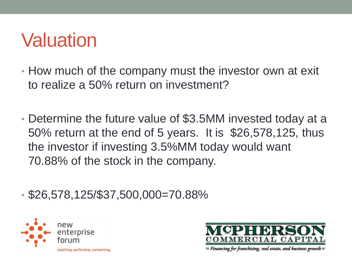- How much of the company must the investor own at exit to realize a 50% return on investment?
- Determine the future value of \$3.5MM invested today at a 50% return at the end of 5 years. It is \$26,578,125, thus the investor if investing 3.5%MM today would want 70.88% of the stock in the company.
- \$26,578,125/\$37,500,000=70.88%



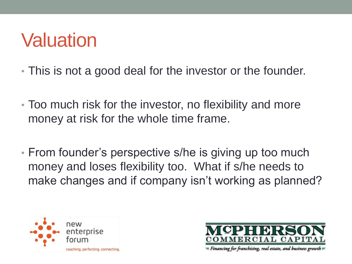- This is not a good deal for the investor or the founder.
- Too much risk for the investor, no flexibility and more money at risk for the whole time frame.
- From founder's perspective s/he is giving up too much money and loses flexibility too. What if s/he needs to make changes and if company isn't working as planned?



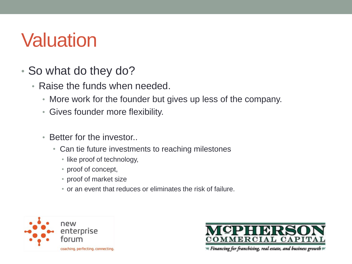- So what do they do?
	- Raise the funds when needed.
		- More work for the founder but gives up less of the company.
		- Gives founder more flexibility.
		- Better for the investor
			- Can tie future investments to reaching milestones
				- like proof of technology,
				- proof of concept,
				- proof of market size
				- or an event that reduces or eliminates the risk of failure.



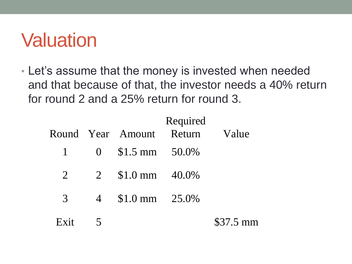• Let's assume that the money is invested when needed and that because of that, the investor needs a 40% return for round 2 and a 25% return for round 3.

|                |              | Round Year Amount              | Required<br>Return | Value     |
|----------------|--------------|--------------------------------|--------------------|-----------|
|                | $1 \qquad 0$ | $$1.5 \text{ mm} \quad 50.0\%$ |                    |           |
| $\overline{2}$ |              | 2 $$1.0 \text{ mm}$ $40.0\%$   |                    |           |
| 3              |              | 4 \$1.0 mm 25.0%               |                    |           |
| $F$ x it       |              |                                |                    | \$37.5 mm |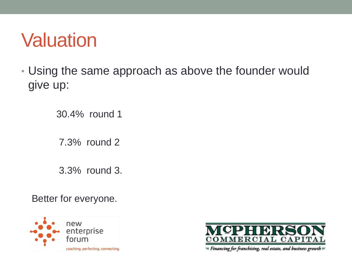• Using the same approach as above the founder would give up:

30.4% round 1

7.3% round 2

3.3% round 3.

Better for everyone.



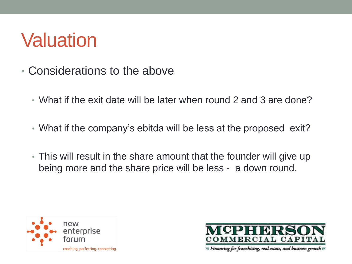- Considerations to the above
	- What if the exit date will be later when round 2 and 3 are done?
	- What if the company's ebitda will be less at the proposed exit?
	- This will result in the share amount that the founder will give up being more and the share price will be less - a down round.



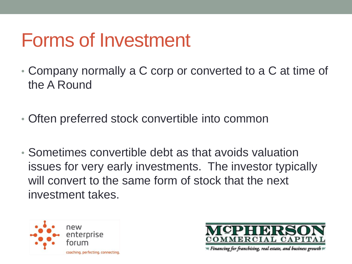# Forms of Investment

- Company normally a C corp or converted to a C at time of the A Round
- Often preferred stock convertible into common
- Sometimes convertible debt as that avoids valuation issues for very early investments. The investor typically will convert to the same form of stock that the next investment takes.



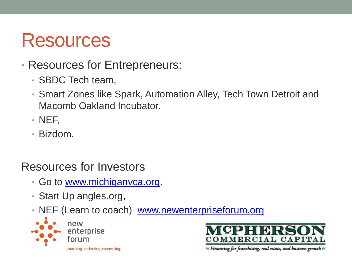#### Resources

- Resources for Entrepreneurs:
	- SBDC Tech team,
	- Smart Zones like Spark, Automation Alley, Tech Town Detroit and Macomb Oakland Incubator.
	- NEF,
	- Bizdom.

#### Resources for Investors

- Go to [www.michiganvca.org](http://www.michiganvca.org/).
- Start Up angles.org,
- NEF (Learn to coach) [www.newenterpriseforum.org](http://www.newenterpriseforum.org/)



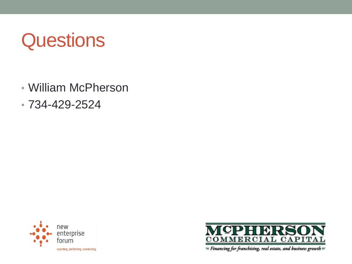# **Questions**

- William McPherson
- 734-429-2524



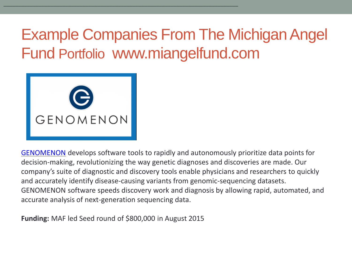

[GENOMENON](http://www.genomenon.com/) develops software tools to rapidly and autonomously prioritize data points for decision-making, revolutionizing the way genetic diagnoses and discoveries are made. Our company's suite of diagnostic and discovery tools enable physicians and researchers to quickly and accurately identify disease-causing variants from genomic-sequencing datasets. GENOMENON software speeds discovery work and diagnosis by allowing rapid, automated, and accurate analysis of next-generation sequencing data.

**Funding:** MAF led Seed round of \$800,000 in August 2015

\_\_\_\_\_\_\_\_\_\_\_\_\_\_\_\_\_\_\_\_\_\_\_\_\_\_\_\_\_\_\_\_\_\_\_\_\_\_\_\_\_\_\_\_\_\_\_\_\_\_\_\_\_\_\_\_\_\_\_\_\_\_\_\_\_\_\_\_\_\_\_\_\_\_\_\_\_\_\_\_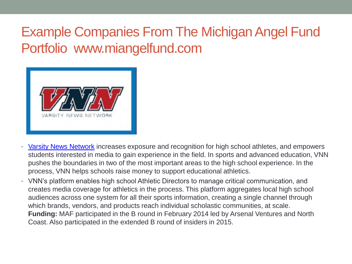

- [Varsity News Network](http://varsitynewsnetwork.com/) increases exposure and recognition for high school athletes, and empowers students interested in media to gain experience in the field. In sports and advanced education, VNN pushes the boundaries in two of the most important areas to the high school experience. In the process, VNN helps schools raise money to support educational athletics.
- VNN's platform enables high school Athletic Directors to manage critical communication, and creates media coverage for athletics in the process. This platform aggregates local high school audiences across one system for all their sports information, creating a single channel through which brands, vendors, and products reach individual scholastic communities, at scale. **Funding:** MAF participated in the B round in February 2014 led by Arsenal Ventures and North Coast. Also participated in the extended B round of insiders in 2015.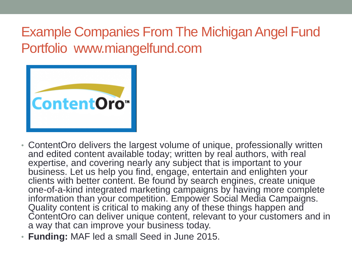

- ContentOro delivers the largest volume of unique, professionally written and edited content available today; written by real authors, with real expertise, and covering nearly any subject that is important to your business. Let us help you find, engage, entertain and enlighten your clients with better content. Be found by search engines, create unique one-of-a-kind integrated marketing campaigns by having more complete information than your competition. Empower Social Media Campaigns. Quality content is critical to making any of these things happen and ContentOro can deliver unique content, relevant to your customers and in a way that can improve your business today.
- **Funding:** MAF led a small Seed in June 2015.